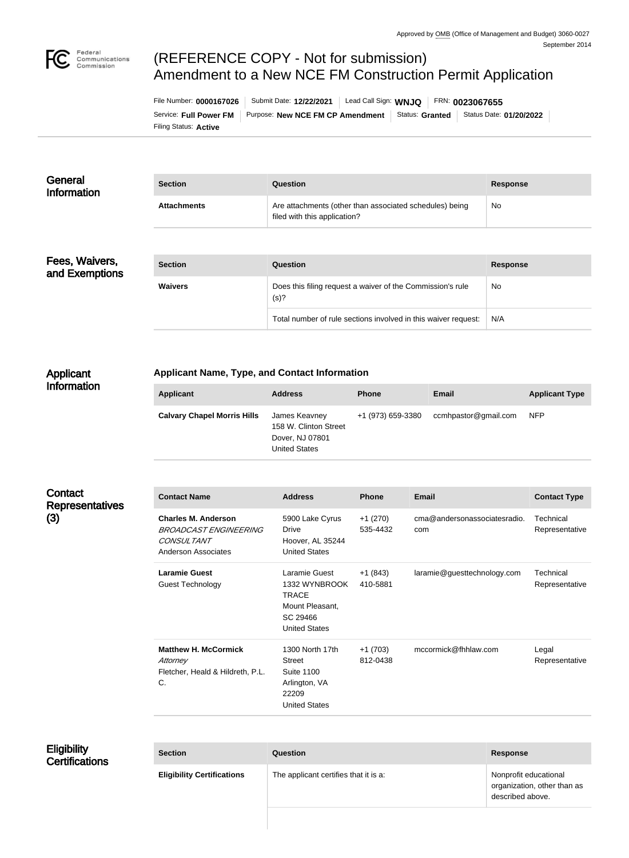

# (REFERENCE COPY - Not for submission) Amendment to a New NCE FM Construction Permit Application

Filing Status: **Active** Service: Full Power FM | Purpose: New NCE FM CP Amendment | Status: Granted | Status Date: 01/20/2022 File Number: **0000167026** Submit Date: **12/22/2021** Lead Call Sign: **WNJQ** FRN: **0023067655**

| General<br><b>Information</b>    | <b>Section</b>     | <b>Question</b>                                                                         | <b>Response</b> |
|----------------------------------|--------------------|-----------------------------------------------------------------------------------------|-----------------|
|                                  | <b>Attachments</b> | Are attachments (other than associated schedules) being<br>filed with this application? | No              |
|                                  |                    |                                                                                         |                 |
| Fees, Waivers,<br>and Exemptions | <b>Section</b>     | Question                                                                                | <b>Response</b> |
|                                  | Mourc              | Doos this filipe request a waiver of the Commission's rule                              | $N_{\alpha}$    |

| <b>Section</b> | Question                                                           | <b>Response</b> |
|----------------|--------------------------------------------------------------------|-----------------|
| <b>Waivers</b> | Does this filing request a waiver of the Commission's rule<br>(s)? | No              |
|                | Total number of rule sections involved in this waiver request:     | N/A             |

#### Applicant **Information**

### **Applicant Name, Type, and Contact Information**

| <b>Applicant</b>                   | <b>Address</b>                                                                    | <b>Phone</b>      | <b>Email</b>         | <b>Applicant Type</b> |
|------------------------------------|-----------------------------------------------------------------------------------|-------------------|----------------------|-----------------------|
| <b>Calvary Chapel Morris Hills</b> | James Keavney<br>158 W. Clinton Street<br>Dover, NJ 07801<br><b>United States</b> | +1 (973) 659-3380 | ccmhpastor@gmail.com | <b>NFP</b>            |

| Contact<br><b>Representatives</b><br>(3) | <b>Contact Name</b>                                                                                           | <b>Address</b>                                                                                        | <b>Phone</b>          | <b>Email</b>                        | <b>Contact Type</b>         |
|------------------------------------------|---------------------------------------------------------------------------------------------------------------|-------------------------------------------------------------------------------------------------------|-----------------------|-------------------------------------|-----------------------------|
|                                          | <b>Charles M. Anderson</b><br><b>BROADCAST ENGINEERING</b><br><b>CONSULTANT</b><br><b>Anderson Associates</b> | 5900 Lake Cyrus<br>Drive<br>Hoover, AL 35244<br><b>United States</b>                                  | $+1(270)$<br>535-4432 | cma@andersonassociatesradio.<br>com | Technical<br>Representative |
|                                          | <b>Laramie Guest</b><br>Guest Technology                                                                      | Laramie Guest<br>1332 WYNBROOK<br><b>TRACE</b><br>Mount Pleasant,<br>SC 29466<br><b>United States</b> | $+1(843)$<br>410-5881 | laramie@guesttechnology.com         | Technical<br>Representative |
|                                          | <b>Matthew H. McCormick</b><br>Attorney<br>Fletcher, Heald & Hildreth, P.L.<br>C.                             | 1300 North 17th<br>Street<br><b>Suite 1100</b><br>Arlington, VA<br>22209<br><b>United States</b>      | $+1(703)$<br>812-0438 | mccormick@fhhlaw.com                | Legal<br>Representative     |

| <b>Eligibility</b><br><b>Certifications</b> | <b>Section</b>                    | Question                              | <b>Response</b>                                                          |
|---------------------------------------------|-----------------------------------|---------------------------------------|--------------------------------------------------------------------------|
|                                             | <b>Eligibility Certifications</b> | The applicant certifies that it is a: | Nonprofit educational<br>organization, other than as<br>described above. |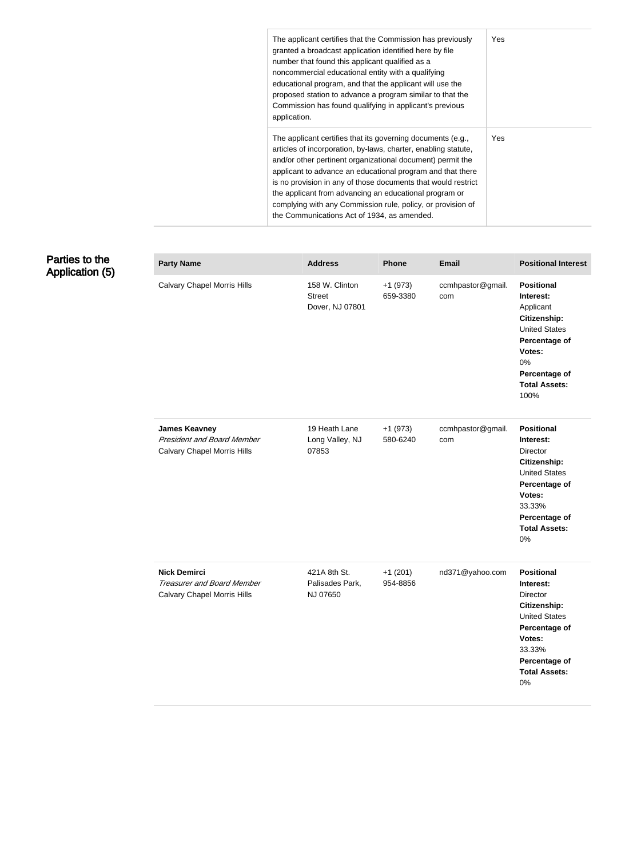| The applicant certifies that the Commission has previously<br>granted a broadcast application identified here by file<br>number that found this applicant qualified as a<br>noncommercial educational entity with a qualifying<br>educational program, and that the applicant will use the<br>proposed station to advance a program similar to that the<br>Commission has found qualifying in applicant's previous<br>application.                                                                 | Yes. |
|----------------------------------------------------------------------------------------------------------------------------------------------------------------------------------------------------------------------------------------------------------------------------------------------------------------------------------------------------------------------------------------------------------------------------------------------------------------------------------------------------|------|
| The applicant certifies that its governing documents (e.g.,<br>articles of incorporation, by-laws, charter, enabling statute,<br>and/or other pertinent organizational document) permit the<br>applicant to advance an educational program and that there<br>is no provision in any of those documents that would restrict<br>the applicant from advancing an educational program or<br>complying with any Commission rule, policy, or provision of<br>the Communications Act of 1934, as amended. | Yes. |

#### Parties to the Application (5)

| <b>Party Name</b>                                                                               | <b>Address</b>                                     | <b>Phone</b>          | <b>Email</b>             | <b>Positional Interest</b>                                                                                                                                                |
|-------------------------------------------------------------------------------------------------|----------------------------------------------------|-----------------------|--------------------------|---------------------------------------------------------------------------------------------------------------------------------------------------------------------------|
| <b>Calvary Chapel Morris Hills</b>                                                              | 158 W. Clinton<br><b>Street</b><br>Dover, NJ 07801 | $+1(973)$<br>659-3380 | ccmhpastor@gmail.<br>com | <b>Positional</b><br>Interest:<br>Applicant<br>Citizenship:<br><b>United States</b><br>Percentage of<br>Votes:<br>0%<br>Percentage of<br><b>Total Assets:</b><br>100%     |
| <b>James Keavney</b><br><b>President and Board Member</b><br><b>Calvary Chapel Morris Hills</b> | 19 Heath Lane<br>Long Valley, NJ<br>07853          | $+1(973)$<br>580-6240 | ccmhpastor@gmail.<br>com | <b>Positional</b><br>Interest:<br>Director<br>Citizenship:<br><b>United States</b><br>Percentage of<br>Votes:<br>33.33%<br>Percentage of<br><b>Total Assets:</b><br>0%    |
| <b>Nick Demirci</b><br><b>Treasurer and Board Member</b><br><b>Calvary Chapel Morris Hills</b>  | 421A 8th St.<br>Palisades Park,<br>NJ 07650        | $+1(201)$<br>954-8856 | nd371@yahoo.com          | <b>Positional</b><br>Interest:<br>Director<br>Citizenship:<br><b>United States</b><br>Percentage of<br>Votes:<br>33.33%<br>Percentage of<br><b>Total Assets:</b><br>$0\%$ |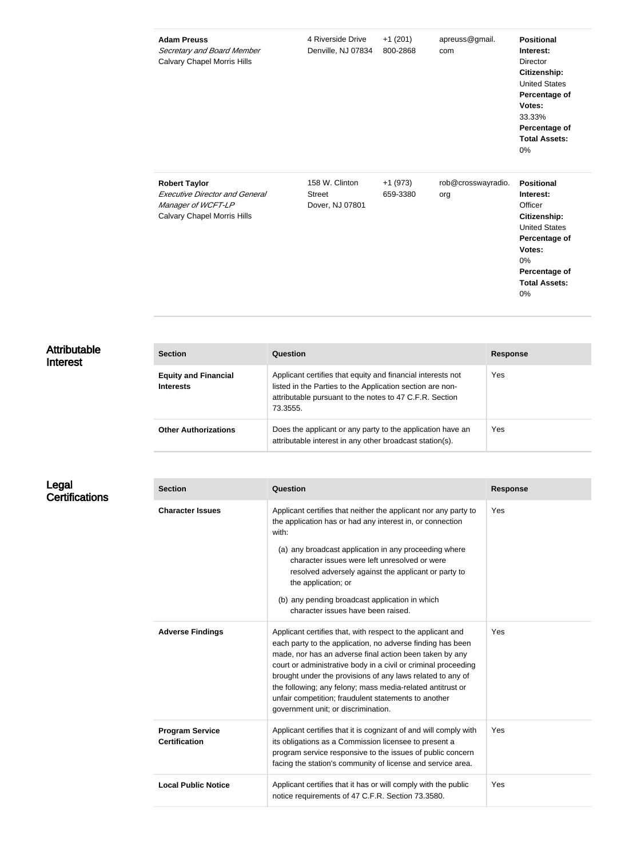| <b>Adam Preuss</b><br>Secretary and Board Member<br><b>Calvary Chapel Morris Hills</b>                                    | 4 Riverside Drive<br>Denville, NJ 07834            | $+1(201)$<br>800-2868 | apreuss@gmail.<br>com     | <b>Positional</b><br>Interest:<br><b>Director</b><br>Citizenship:<br><b>United States</b><br>Percentage of<br>Votes:<br>33.33%<br>Percentage of<br><b>Total Assets:</b><br>0% |
|---------------------------------------------------------------------------------------------------------------------------|----------------------------------------------------|-----------------------|---------------------------|-------------------------------------------------------------------------------------------------------------------------------------------------------------------------------|
| <b>Robert Taylor</b><br><b>Executive Director and General</b><br>Manager of WCFT-LP<br><b>Calvary Chapel Morris Hills</b> | 158 W. Clinton<br><b>Street</b><br>Dover, NJ 07801 | $+1(973)$<br>659-3380 | rob@crosswayradio.<br>org | <b>Positional</b><br>Interest:<br>Officer<br>Citizenship:<br><b>United States</b><br>Percentage of<br>Votes:<br>0%<br>Percentage of<br><b>Total Assets:</b><br>0%             |

### Attributable Interest

| <b>Section</b>                                  | Question                                                                                                                                                                                        | <b>Response</b> |
|-------------------------------------------------|-------------------------------------------------------------------------------------------------------------------------------------------------------------------------------------------------|-----------------|
| <b>Equity and Financial</b><br><b>Interests</b> | Applicant certifies that equity and financial interests not<br>listed in the Parties to the Application section are non-<br>attributable pursuant to the notes to 47 C.F.R. Section<br>73.3555. | Yes             |
| <b>Other Authorizations</b>                     | Does the applicant or any party to the application have an<br>attributable interest in any other broadcast station(s).                                                                          | Yes             |

#### Legal **Certifications**

| <b>Section</b>                                 | Question                                                                                                                                                                                                                                                                                                                                                                                                                                                                          | <b>Response</b> |
|------------------------------------------------|-----------------------------------------------------------------------------------------------------------------------------------------------------------------------------------------------------------------------------------------------------------------------------------------------------------------------------------------------------------------------------------------------------------------------------------------------------------------------------------|-----------------|
| <b>Character Issues</b>                        | Applicant certifies that neither the applicant nor any party to<br>the application has or had any interest in, or connection<br>with:                                                                                                                                                                                                                                                                                                                                             | Yes             |
|                                                | (a) any broadcast application in any proceeding where<br>character issues were left unresolved or were<br>resolved adversely against the applicant or party to<br>the application; or                                                                                                                                                                                                                                                                                             |                 |
|                                                | (b) any pending broadcast application in which<br>character issues have been raised.                                                                                                                                                                                                                                                                                                                                                                                              |                 |
| <b>Adverse Findings</b>                        | Applicant certifies that, with respect to the applicant and<br>each party to the application, no adverse finding has been<br>made, nor has an adverse final action been taken by any<br>court or administrative body in a civil or criminal proceeding<br>brought under the provisions of any laws related to any of<br>the following; any felony; mass media-related antitrust or<br>unfair competition; fraudulent statements to another<br>government unit; or discrimination. | Yes             |
| <b>Program Service</b><br><b>Certification</b> | Applicant certifies that it is cognizant of and will comply with<br>its obligations as a Commission licensee to present a<br>program service responsive to the issues of public concern<br>facing the station's community of license and service area.                                                                                                                                                                                                                            | Yes             |
| <b>Local Public Notice</b>                     | Applicant certifies that it has or will comply with the public<br>notice requirements of 47 C.F.R. Section 73.3580.                                                                                                                                                                                                                                                                                                                                                               | Yes             |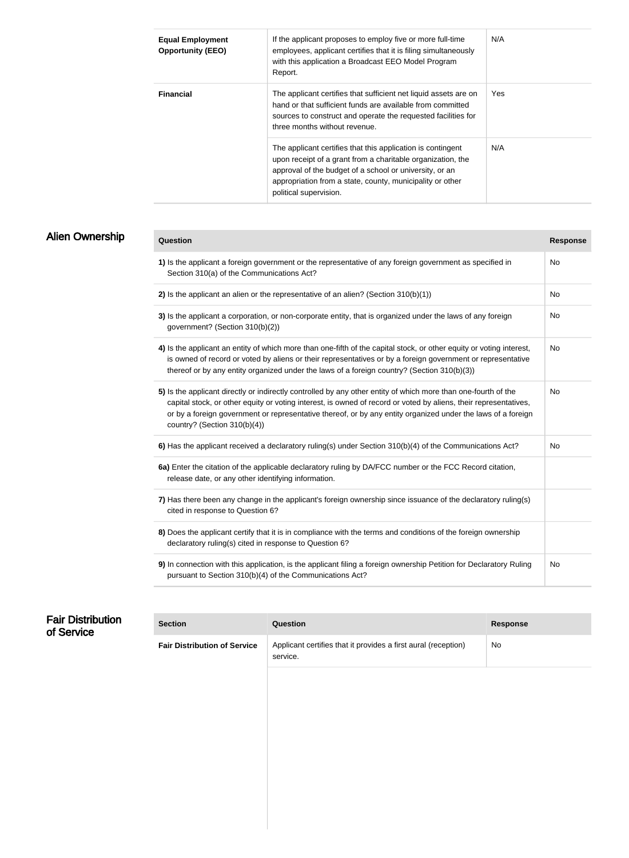| <b>Equal Employment</b><br><b>Opportunity (EEO)</b> | If the applicant proposes to employ five or more full-time<br>employees, applicant certifies that it is filing simultaneously<br>with this application a Broadcast EEO Model Program<br>Report.                                                                              | N/A |
|-----------------------------------------------------|------------------------------------------------------------------------------------------------------------------------------------------------------------------------------------------------------------------------------------------------------------------------------|-----|
| <b>Financial</b>                                    | The applicant certifies that sufficient net liquid assets are on<br>hand or that sufficient funds are available from committed<br>sources to construct and operate the requested facilities for<br>three months without revenue.                                             | Yes |
|                                                     | The applicant certifies that this application is contingent<br>upon receipt of a grant from a charitable organization, the<br>approval of the budget of a school or university, or an<br>appropriation from a state, county, municipality or other<br>political supervision. | N/A |

## Alien Ownership

| Question                                                                                                                                                                                                                                                                                                                                                                              | <b>Response</b> |
|---------------------------------------------------------------------------------------------------------------------------------------------------------------------------------------------------------------------------------------------------------------------------------------------------------------------------------------------------------------------------------------|-----------------|
| 1) Is the applicant a foreign government or the representative of any foreign government as specified in<br>Section 310(a) of the Communications Act?                                                                                                                                                                                                                                 | No              |
| 2) Is the applicant an alien or the representative of an alien? (Section $310(b)(1)$ )                                                                                                                                                                                                                                                                                                | No              |
| 3) Is the applicant a corporation, or non-corporate entity, that is organized under the laws of any foreign<br>government? (Section 310(b)(2))                                                                                                                                                                                                                                        | No              |
| 4) Is the applicant an entity of which more than one-fifth of the capital stock, or other equity or voting interest,<br>is owned of record or voted by aliens or their representatives or by a foreign government or representative<br>thereof or by any entity organized under the laws of a foreign country? (Section 310(b)(3))                                                    | No              |
| 5) Is the applicant directly or indirectly controlled by any other entity of which more than one-fourth of the<br>capital stock, or other equity or voting interest, is owned of record or voted by aliens, their representatives,<br>or by a foreign government or representative thereof, or by any entity organized under the laws of a foreign<br>country? (Section $310(b)(4)$ ) | <b>No</b>       |
| 6) Has the applicant received a declaratory ruling(s) under Section 310(b)(4) of the Communications Act?                                                                                                                                                                                                                                                                              | No              |
| 6a) Enter the citation of the applicable declaratory ruling by DA/FCC number or the FCC Record citation,<br>release date, or any other identifying information.                                                                                                                                                                                                                       |                 |
| 7) Has there been any change in the applicant's foreign ownership since issuance of the declaratory ruling(s)<br>cited in response to Question 6?                                                                                                                                                                                                                                     |                 |
| 8) Does the applicant certify that it is in compliance with the terms and conditions of the foreign ownership<br>declaratory ruling(s) cited in response to Question 6?                                                                                                                                                                                                               |                 |
| 9) In connection with this application, is the applicant filing a foreign ownership Petition for Declaratory Ruling<br>pursuant to Section 310(b)(4) of the Communications Act?                                                                                                                                                                                                       | No              |

| <b>Fair Distribution</b><br>of Service | <b>Section</b>                      | Question                                                                   | <b>Response</b> |
|----------------------------------------|-------------------------------------|----------------------------------------------------------------------------|-----------------|
|                                        | <b>Fair Distribution of Service</b> | Applicant certifies that it provides a first aural (reception)<br>service. | No              |
|                                        |                                     |                                                                            |                 |
|                                        |                                     |                                                                            |                 |
|                                        |                                     |                                                                            |                 |
|                                        |                                     |                                                                            |                 |
|                                        |                                     |                                                                            |                 |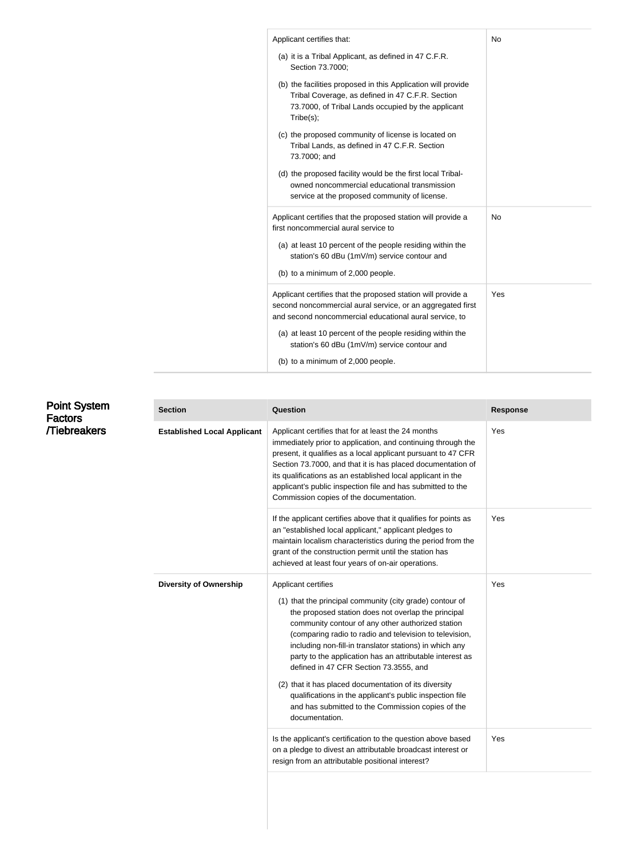| Applicant certifies that:                                                                                                                                                            | No        |
|--------------------------------------------------------------------------------------------------------------------------------------------------------------------------------------|-----------|
| (a) it is a Tribal Applicant, as defined in 47 C.F.R.<br>Section 73.7000;                                                                                                            |           |
| (b) the facilities proposed in this Application will provide<br>Tribal Coverage, as defined in 47 C.F.R. Section<br>73.7000, of Tribal Lands occupied by the applicant<br>Tribe(s);  |           |
| (c) the proposed community of license is located on<br>Tribal Lands, as defined in 47 C.F.R. Section<br>73.7000; and                                                                 |           |
| (d) the proposed facility would be the first local Tribal-<br>owned noncommercial educational transmission<br>service at the proposed community of license.                          |           |
| Applicant certifies that the proposed station will provide a<br>first noncommercial aural service to                                                                                 | <b>No</b> |
| (a) at least 10 percent of the people residing within the<br>station's 60 dBu (1mV/m) service contour and                                                                            |           |
| (b) to a minimum of 2,000 people.                                                                                                                                                    |           |
| Applicant certifies that the proposed station will provide a<br>second noncommercial aural service, or an aggregated first<br>and second noncommercial educational aural service, to | Yes       |
| (a) at least 10 percent of the people residing within the<br>station's 60 dBu (1mV/m) service contour and                                                                            |           |
| (b) to a minimum of 2,000 people.                                                                                                                                                    |           |

| <b>Point System</b><br><b>Factors</b><br><b>Tiebreakers</b> | <b>Section</b>                     | Question                                                                                                                                                                                                                                                                                                                                                                                                                                                                                                                                                                                                            | <b>Response</b> |
|-------------------------------------------------------------|------------------------------------|---------------------------------------------------------------------------------------------------------------------------------------------------------------------------------------------------------------------------------------------------------------------------------------------------------------------------------------------------------------------------------------------------------------------------------------------------------------------------------------------------------------------------------------------------------------------------------------------------------------------|-----------------|
|                                                             | <b>Established Local Applicant</b> | Applicant certifies that for at least the 24 months<br>immediately prior to application, and continuing through the<br>present, it qualifies as a local applicant pursuant to 47 CFR<br>Section 73.7000, and that it is has placed documentation of<br>its qualifications as an established local applicant in the<br>applicant's public inspection file and has submitted to the<br>Commission copies of the documentation.                                                                                                                                                                                        | Yes             |
|                                                             |                                    | If the applicant certifies above that it qualifies for points as<br>an "established local applicant," applicant pledges to<br>maintain localism characteristics during the period from the<br>grant of the construction permit until the station has<br>achieved at least four years of on-air operations.                                                                                                                                                                                                                                                                                                          | Yes             |
|                                                             | <b>Diversity of Ownership</b>      | Applicant certifies<br>(1) that the principal community (city grade) contour of<br>the proposed station does not overlap the principal<br>community contour of any other authorized station<br>(comparing radio to radio and television to television,<br>including non-fill-in translator stations) in which any<br>party to the application has an attributable interest as<br>defined in 47 CFR Section 73.3555, and<br>(2) that it has placed documentation of its diversity<br>qualifications in the applicant's public inspection file<br>and has submitted to the Commission copies of the<br>documentation. | Yes             |
|                                                             |                                    | Is the applicant's certification to the question above based<br>on a pledge to divest an attributable broadcast interest or<br>resign from an attributable positional interest?                                                                                                                                                                                                                                                                                                                                                                                                                                     | Yes             |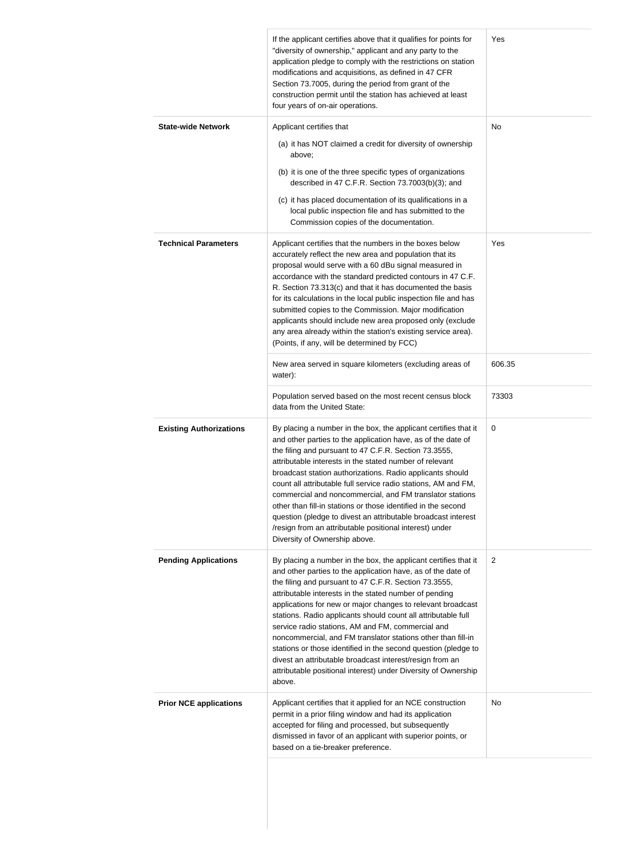|                                | If the applicant certifies above that it qualifies for points for<br>"diversity of ownership," applicant and any party to the<br>application pledge to comply with the restrictions on station<br>modifications and acquisitions, as defined in 47 CFR<br>Section 73.7005, during the period from grant of the<br>construction permit until the station has achieved at least<br>four years of on-air operations.                                                                                                                                                                                                                                                                                                 | Yes             |
|--------------------------------|-------------------------------------------------------------------------------------------------------------------------------------------------------------------------------------------------------------------------------------------------------------------------------------------------------------------------------------------------------------------------------------------------------------------------------------------------------------------------------------------------------------------------------------------------------------------------------------------------------------------------------------------------------------------------------------------------------------------|-----------------|
| <b>State-wide Network</b>      | Applicant certifies that<br>(a) it has NOT claimed a credit for diversity of ownership<br>above;<br>(b) it is one of the three specific types of organizations<br>described in 47 C.F.R. Section 73.7003(b)(3); and<br>(c) it has placed documentation of its qualifications in a<br>local public inspection file and has submitted to the<br>Commission copies of the documentation.                                                                                                                                                                                                                                                                                                                             | No              |
| <b>Technical Parameters</b>    | Applicant certifies that the numbers in the boxes below<br>accurately reflect the new area and population that its<br>proposal would serve with a 60 dBu signal measured in<br>accordance with the standard predicted contours in 47 C.F.<br>R. Section 73.313(c) and that it has documented the basis<br>for its calculations in the local public inspection file and has<br>submitted copies to the Commission. Major modification<br>applicants should include new area proposed only (exclude<br>any area already within the station's existing service area).<br>(Points, if any, will be determined by FCC)                                                                                                 | Yes             |
|                                | New area served in square kilometers (excluding areas of<br>water):<br>Population served based on the most recent census block                                                                                                                                                                                                                                                                                                                                                                                                                                                                                                                                                                                    | 606.35<br>73303 |
| <b>Existing Authorizations</b> | data from the United State:<br>By placing a number in the box, the applicant certifies that it<br>and other parties to the application have, as of the date of<br>the filing and pursuant to 47 C.F.R. Section 73.3555,<br>attributable interests in the stated number of relevant<br>broadcast station authorizations. Radio applicants should<br>count all attributable full service radio stations, AM and FM,<br>commercial and noncommercial, and FM translator stations<br>other than fill-in stations or those identified in the second<br>question (pledge to divest an attributable broadcast interest<br>/resign from an attributable positional interest) under<br>Diversity of Ownership above.       | 0               |
| <b>Pending Applications</b>    | By placing a number in the box, the applicant certifies that it<br>and other parties to the application have, as of the date of<br>the filing and pursuant to 47 C.F.R. Section 73.3555,<br>attributable interests in the stated number of pending<br>applications for new or major changes to relevant broadcast<br>stations. Radio applicants should count all attributable full<br>service radio stations, AM and FM, commercial and<br>noncommercial, and FM translator stations other than fill-in<br>stations or those identified in the second question (pledge to<br>divest an attributable broadcast interest/resign from an<br>attributable positional interest) under Diversity of Ownership<br>above. | $\overline{2}$  |
| <b>Prior NCE applications</b>  | Applicant certifies that it applied for an NCE construction<br>permit in a prior filing window and had its application<br>accepted for filing and processed, but subsequently<br>dismissed in favor of an applicant with superior points, or<br>based on a tie-breaker preference.                                                                                                                                                                                                                                                                                                                                                                                                                                | No              |
|                                |                                                                                                                                                                                                                                                                                                                                                                                                                                                                                                                                                                                                                                                                                                                   |                 |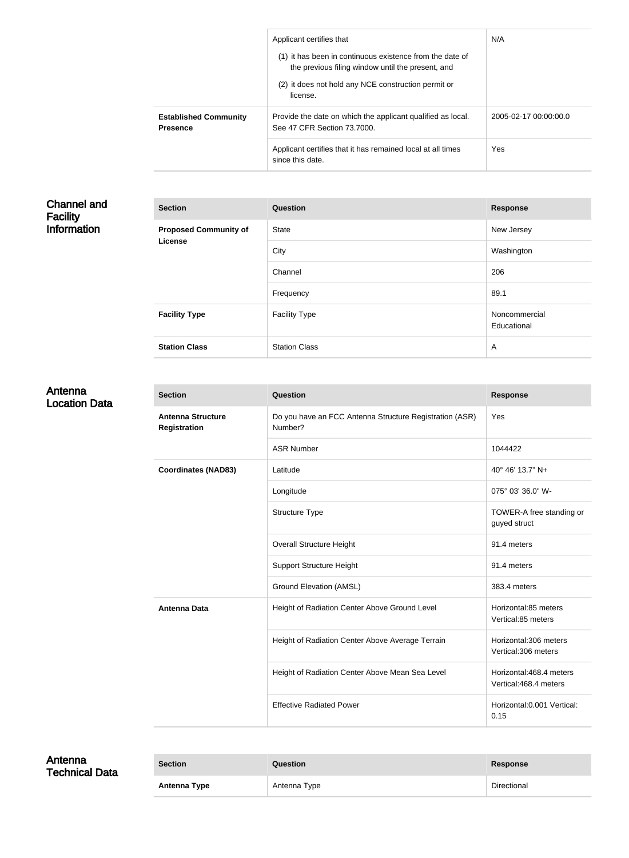| Applicant certifies that<br>(1) it has been in continuous existence from the date of<br>the previous filing window until the present, and<br>(2) it does not hold any NCE construction permit or<br>license. | N/A                   |
|--------------------------------------------------------------------------------------------------------------------------------------------------------------------------------------------------------------|-----------------------|
| Provide the date on which the applicant qualified as local.<br>See 47 CFR Section 73,7000.                                                                                                                   | 2005-02-17 00:00:00.0 |
| Applicant certifies that it has remained local at all times<br>since this date.                                                                                                                              | Yes                   |
|                                                                                                                                                                                                              |                       |

#### Channel and Facility Information

| <b>Section</b>                                 | Question             | <b>Response</b>              |
|------------------------------------------------|----------------------|------------------------------|
| <b>Proposed Community of</b><br><b>License</b> | <b>State</b>         | New Jersey                   |
|                                                | City                 | Washington                   |
|                                                | Channel              | 206                          |
|                                                | Frequency            | 89.1                         |
| <b>Facility Type</b>                           | <b>Facility Type</b> | Noncommercial<br>Educational |
| <b>Station Class</b>                           | <b>Station Class</b> | $\overline{A}$               |

#### Antenna Location Data

| <b>Section</b>                                  | Question                                                           | <b>Response</b>                                   |
|-------------------------------------------------|--------------------------------------------------------------------|---------------------------------------------------|
| <b>Antenna Structure</b><br><b>Registration</b> | Do you have an FCC Antenna Structure Registration (ASR)<br>Number? | Yes                                               |
|                                                 | <b>ASR Number</b>                                                  | 1044422                                           |
| <b>Coordinates (NAD83)</b>                      | Latitude                                                           | 40° 46' 13.7" N+                                  |
|                                                 | Longitude                                                          | 075° 03' 36.0" W-                                 |
|                                                 | <b>Structure Type</b>                                              | TOWER-A free standing or<br>guyed struct          |
|                                                 | <b>Overall Structure Height</b>                                    | 91.4 meters                                       |
|                                                 | <b>Support Structure Height</b>                                    | 91.4 meters                                       |
|                                                 | <b>Ground Elevation (AMSL)</b>                                     | 383.4 meters                                      |
| <b>Antenna Data</b>                             | Height of Radiation Center Above Ground Level                      | Horizontal:85 meters<br>Vertical:85 meters        |
|                                                 | Height of Radiation Center Above Average Terrain                   | Horizontal:306 meters<br>Vertical:306 meters      |
|                                                 | Height of Radiation Center Above Mean Sea Level                    | Horizontal: 468.4 meters<br>Vertical:468.4 meters |
|                                                 | <b>Effective Radiated Power</b>                                    | Horizontal: 0.001 Vertical:<br>0.15               |

| Antenna<br><b>Technical Data</b> | <b>Section</b> | <b>Question</b> | Response    |
|----------------------------------|----------------|-----------------|-------------|
|                                  | Antenna Type   | Antenna Type    | Directional |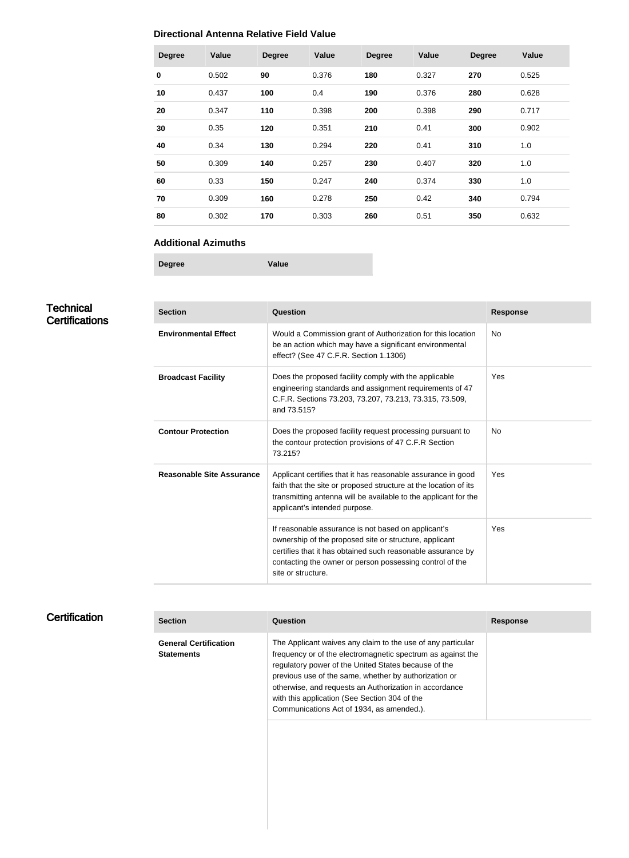#### **Directional Antenna Relative Field Value**

| <b>Degree</b> | Value | <b>Degree</b> | Value | <b>Degree</b> | Value | <b>Degree</b> | Value |
|---------------|-------|---------------|-------|---------------|-------|---------------|-------|
| $\bf{0}$      | 0.502 | 90            | 0.376 | 180           | 0.327 | 270           | 0.525 |
| 10            | 0.437 | 100           | 0.4   | 190           | 0.376 | 280           | 0.628 |
| 20            | 0.347 | 110           | 0.398 | 200           | 0.398 | 290           | 0.717 |
| 30            | 0.35  | 120           | 0.351 | 210           | 0.41  | 300           | 0.902 |
| 40            | 0.34  | 130           | 0.294 | 220           | 0.41  | 310           | 1.0   |
| 50            | 0.309 | 140           | 0.257 | 230           | 0.407 | 320           | 1.0   |
| 60            | 0.33  | 150           | 0.247 | 240           | 0.374 | 330           | 1.0   |
| 70            | 0.309 | 160           | 0.278 | 250           | 0.42  | 340           | 0.794 |
| 80            | 0.302 | 170           | 0.303 | 260           | 0.51  | 350           | 0.632 |

#### **Additional Azimuths**

**Degree Value**

**Technical Certifications** 

| <b>Section</b>                   | Question                                                                                                                                                                                                                                                       | <b>Response</b> |
|----------------------------------|----------------------------------------------------------------------------------------------------------------------------------------------------------------------------------------------------------------------------------------------------------------|-----------------|
| <b>Environmental Effect</b>      | Would a Commission grant of Authorization for this location<br>be an action which may have a significant environmental<br>effect? (See 47 C.F.R. Section 1.1306)                                                                                               | <b>No</b>       |
| <b>Broadcast Facility</b>        | Does the proposed facility comply with the applicable<br>engineering standards and assignment requirements of 47<br>C.F.R. Sections 73.203, 73.207, 73.213, 73.315, 73.509,<br>and 73.515?                                                                     | Yes             |
| <b>Contour Protection</b>        | Does the proposed facility request processing pursuant to<br>the contour protection provisions of 47 C.F.R Section<br>73.215?                                                                                                                                  | No.             |
| <b>Reasonable Site Assurance</b> | Applicant certifies that it has reasonable assurance in good<br>faith that the site or proposed structure at the location of its<br>transmitting antenna will be available to the applicant for the<br>applicant's intended purpose.                           | Yes             |
|                                  | If reasonable assurance is not based on applicant's<br>ownership of the proposed site or structure, applicant<br>certifies that it has obtained such reasonable assurance by<br>contacting the owner or person possessing control of the<br>site or structure. | Yes             |

## **Certification**

| <b>Section</b>                                    | Question                                                                                                                                                                                                                                                                                                                                                                                            | <b>Response</b> |
|---------------------------------------------------|-----------------------------------------------------------------------------------------------------------------------------------------------------------------------------------------------------------------------------------------------------------------------------------------------------------------------------------------------------------------------------------------------------|-----------------|
| <b>General Certification</b><br><b>Statements</b> | The Applicant waives any claim to the use of any particular<br>frequency or of the electromagnetic spectrum as against the<br>regulatory power of the United States because of the<br>previous use of the same, whether by authorization or<br>otherwise, and requests an Authorization in accordance<br>with this application (See Section 304 of the<br>Communications Act of 1934, as amended.). |                 |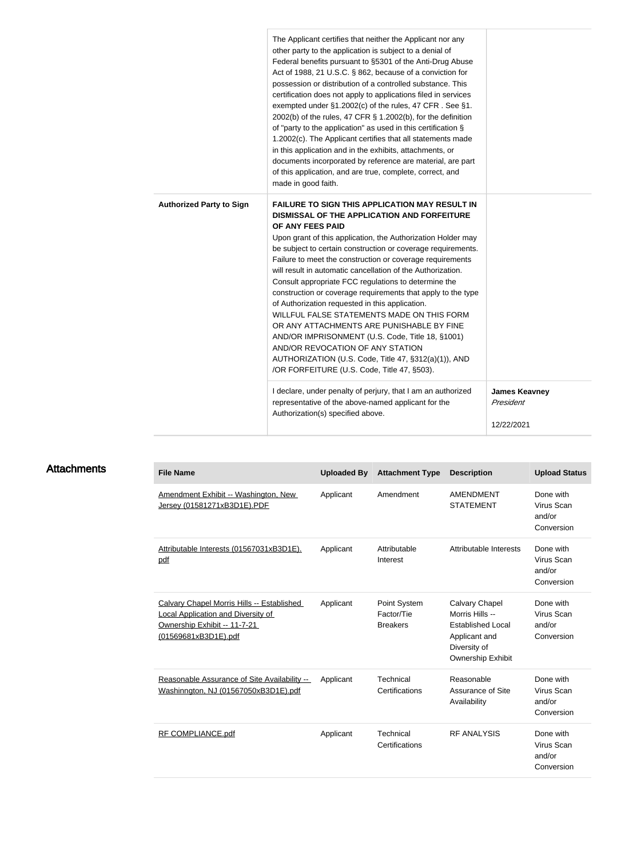|                                 | The Applicant certifies that neither the Applicant nor any<br>other party to the application is subject to a denial of<br>Federal benefits pursuant to §5301 of the Anti-Drug Abuse<br>Act of 1988, 21 U.S.C. § 862, because of a conviction for<br>possession or distribution of a controlled substance. This<br>certification does not apply to applications filed in services<br>exempted under §1.2002(c) of the rules, 47 CFR. See §1.<br>2002(b) of the rules, 47 CFR § 1.2002(b), for the definition<br>of "party to the application" as used in this certification §<br>1.2002(c). The Applicant certifies that all statements made<br>in this application and in the exhibits, attachments, or<br>documents incorporated by reference are material, are part<br>of this application, and are true, complete, correct, and<br>made in good faith. |                                                 |
|---------------------------------|-----------------------------------------------------------------------------------------------------------------------------------------------------------------------------------------------------------------------------------------------------------------------------------------------------------------------------------------------------------------------------------------------------------------------------------------------------------------------------------------------------------------------------------------------------------------------------------------------------------------------------------------------------------------------------------------------------------------------------------------------------------------------------------------------------------------------------------------------------------|-------------------------------------------------|
| <b>Authorized Party to Sign</b> | FAILURE TO SIGN THIS APPLICATION MAY RESULT IN<br>DISMISSAL OF THE APPLICATION AND FORFEITURE<br>OF ANY FEES PAID<br>Upon grant of this application, the Authorization Holder may<br>be subject to certain construction or coverage requirements.<br>Failure to meet the construction or coverage requirements<br>will result in automatic cancellation of the Authorization.<br>Consult appropriate FCC regulations to determine the<br>construction or coverage requirements that apply to the type<br>of Authorization requested in this application.<br>WILLFUL FALSE STATEMENTS MADE ON THIS FORM<br>OR ANY ATTACHMENTS ARE PUNISHABLE BY FINE<br>AND/OR IMPRISONMENT (U.S. Code, Title 18, §1001)<br>AND/OR REVOCATION OF ANY STATION<br>AUTHORIZATION (U.S. Code, Title 47, §312(a)(1)), AND<br>/OR FORFEITURE (U.S. Code, Title 47, §503).        |                                                 |
|                                 | I declare, under penalty of perjury, that I am an authorized<br>representative of the above-named applicant for the<br>Authorization(s) specified above.                                                                                                                                                                                                                                                                                                                                                                                                                                                                                                                                                                                                                                                                                                  | <b>James Keavney</b><br>President<br>12/22/2021 |

#### **Attachments**

| <b>File Name</b>                                                                                                                         | <b>Uploaded By</b> | <b>Attachment Type</b>                        | <b>Description</b>                                                                                                  | <b>Upload Status</b>                            |
|------------------------------------------------------------------------------------------------------------------------------------------|--------------------|-----------------------------------------------|---------------------------------------------------------------------------------------------------------------------|-------------------------------------------------|
| Amendment Exhibit -- Washington, New<br>Jersey (01581271xB3D1E).PDF                                                                      | Applicant          | Amendment                                     | <b>AMENDMENT</b><br><b>STATEMENT</b>                                                                                | Done with<br>Virus Scan<br>and/or<br>Conversion |
| Attributable Interests (01567031xB3D1E).<br><u>pdf</u>                                                                                   | Applicant          | Attributable<br>Interest                      | Attributable Interests                                                                                              | Done with<br>Virus Scan<br>and/or<br>Conversion |
| Calvary Chapel Morris Hills -- Established<br>Local Application and Diversity of<br>Ownership Exhibit -- 11-7-21<br>(01569681xB3D1E).pdf | Applicant          | Point System<br>Factor/Tie<br><b>Breakers</b> | Calvary Chapel<br>Morris Hills --<br><b>Established Local</b><br>Applicant and<br>Diversity of<br>Ownership Exhibit | Done with<br>Virus Scan<br>and/or<br>Conversion |
| Reasonable Assurance of Site Availability --<br>Washinngton, NJ (01567050xB3D1E).pdf                                                     | Applicant          | Technical<br>Certifications                   | Reasonable<br>Assurance of Site<br>Availability                                                                     | Done with<br>Virus Scan<br>and/or<br>Conversion |
| <b>RF COMPLIANCE.pdf</b>                                                                                                                 | Applicant          | Technical<br>Certifications                   | <b>RF ANALYSIS</b>                                                                                                  | Done with<br>Virus Scan<br>and/or<br>Conversion |